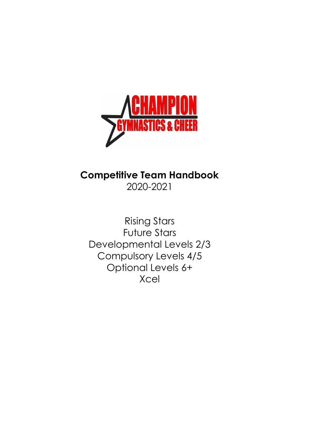

# **Competitive Team Handbook** 2020-2021

Rising Stars Future Stars Developmental Levels 2/3 Compulsory Levels 4/5 Optional Levels 6+ Xcel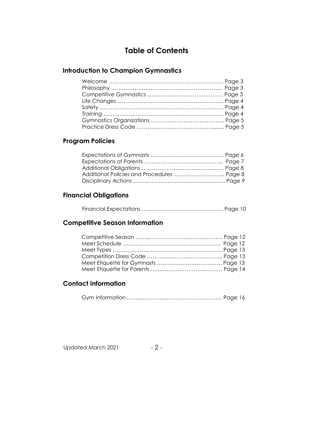# **Table of Contents**

## **Introduction to Champion Gymnastics**

# **Program Policies**

| Additional Policies and Procedures  Page 8 |  |
|--------------------------------------------|--|
|                                            |  |

# **Financial Obligations**

|--|--|

# **Competitive Season Information**

## **Contact Information**

Gym Information ……..…..…….………………………….… Page 16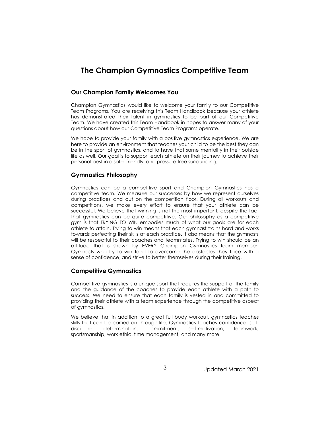# **The Champion Gymnastics Competitive Team**

## **Our Champion Family Welcomes You**

Champion Gymnastics would like to welcome your family to our Competitive Team Programs. You are receiving this Team Handbook because your athlete has demonstrated their talent in gymnastics to be part of our Competitive Team. We have created this Team Handbook in hopes to answer many of your questions about how our Competitive Team Programs operate.

We hope to provide your family with a positive gymnastics experience. We are here to provide an environment that teaches your child to be the best they can be in the sport of gymnastics, and to have that same mentality in their outside life as well. Our goal is to support each athlete on their journey to achieve their personal best in a safe, friendly, and pressure free surrounding.

## **Gymnastics Philosophy**

Gymnastics can be a competitive sport and Champion Gymnastics has a competitive team. We measure our successes by how we represent ourselves during practices and out on the competition floor. During all workouts and competitions, we make every effort to ensure that your athlete can be successful. We believe that winning is not the most important, despite the fact that gymnastics can be quite competitive. Our philosophy as a competitive gym is that TRYING TO WIN embodies much of what our goals are for each athlete to attain. Trying to win means that each gymnast trains hard and works towards perfecting their skills at each practice. It also means that the gymnasts will be respectful to their coaches and teammates. Trying to win should be an attitude that is shown by EVERY Champion Gymnastics team member. Gymnasts who try to win tend to overcome the obstacles they face with a sense of confidence, and strive to better themselves during their training.

## **Competitive Gymnastics**

Competitive gymnastics is a unique sport that requires the support of the family and the guidance of the coaches to provide each athlete with a path to success. We need to ensure that each family is vested in and committed to providing their athlete with a team experience through the competitive aspect of gymnastics.

We believe that in addition to a great full body workout, gymnastics teaches skills that can be carried on through life. Gymnastics teaches confidence, selfdiscipline, determination, commitment, self-motivation, teamwork, sportsmanship, work ethic, time management, and many more.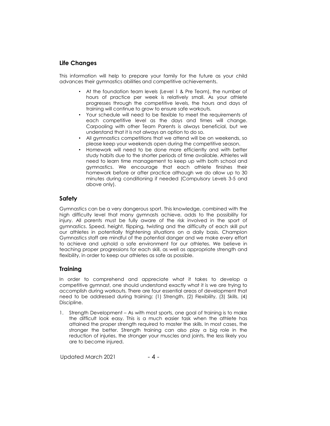## **Life Changes**

This information will help to prepare your family for the future as your child advances their gymnastics abilities and competitive achievements.

- At the foundation team levels (Level 1 & Pre Team), the number of hours of practice per week is relatively small. As your athlete progresses through the competitive levels, the hours and days of training will continue to grow to ensure safe workouts.
- Your schedule will need to be flexible to meet the requirements of each competitive level as the days and times will change. Carpooling with other Team Parents is always beneficial, but we understand that it is not always an option to do so.
- All gymnastics competitions that we attend will be on weekends, so please keep your weekends open during the competitive season.
- Homework will need to be done more efficiently and with better study habits due to the shorter periods of time available. Athletes will need to learn time management to keep up with both school and gymnastics. We encourage that each athlete finishes their homework before or after practice although we do allow up to 30 minutes during conditioning if needed (Compulsory Levels 3-5 and above only).

## **Safety**

Gymnastics can be a very dangerous sport. This knowledge, combined with the high difficulty level that many gymnasts achieve, adds to the possibility for injury. All parents must be fully aware of the risk involved in the sport of gymnastics. Speed, height, flipping, twisting and the difficulty of each skill put our athletes in potentially frightening situations on a daily basis. Champion Gymnastics staff are mindful of the potential danger and we make every effort to achieve and uphold a safe environment for our athletes. We believe in teaching proper progressions for each skill, as well as appropriate strength and flexibility, in order to keep our athletes as safe as possible.

## **Training**

In order to comprehend and appreciate what it takes to develop a competitive gymnast, one should understand exactly what it is we are trying to accomplish during workouts. There are four essential areas of development that need to be addressed during training: (1) Strength, (2) Flexibility, (3) Skills, (4) Discipline.

1. Strength Development – As with most sports, one goal of training is to make the difficult look easy. This is a much easier task when the athlete has attained the proper strength required to master the skills. In most cases, the stronger the better. Strength training can also play a big role in the reduction of injuries, the stronger your muscles and joints, the less likely you are to become injured.

 $-4-$ Updated March 2021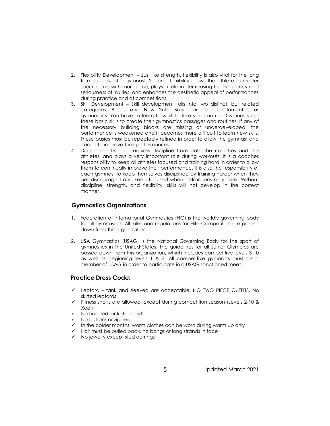- 2. Flexibility Development Just like strength, flexibility is also vital for the long term success of a gymnast. Superior flexibility allows the athlete to master specific skills with more ease, plays a role in decreasing the frequency and seriousness of injuries, and enhances the aesthetic appeal of performances during practice and at competitions.
- 3. Skill Development Skill development falls into two distinct, but related categories: Basics and New Skills. Basics are the fundamentals of gymnastics. You have to learn to walk before you can run. Gymnasts use these basic skills to create their gymnastics passages and routines. If any of the necessary building blocks are missing or underdeveloped, the performance is weakened and it becomes more difficult to learn new skills. These basics must be repeatedly refined in order to allow the gymnast and coach to improve their performances.
- 4. Discipline Training requires discipline from both the coaches and the athletes, and plays a very important role during workouts. It is a coaches responsibility to keep all athletes focused and training hard in order to allow them to continually improve their performance. It is also the responsibility of each gymnast to keep themselves disciplined by training harder when they get discouraged and keep focused when distractions may arise. Without discipline, strength, and flexibility, skills will not develop in the correct manner.

## **Gymnastics Organizations**

- 1. Federation of International Gymnastics (FIG) is the worldly governing body for all gymnastics. All rules and regulations for Elite Competition are passed down from this organization.
- 2. USA Gymnastics (USAG) is the National Governing Body for the sport of gymnastics in the United States. The guidelines for all Junior Olympics are passed down from this organization, which includes competitive levels 3-10 as well as beginning levels 1 & 2. All competitive gymnasts must be a member of USAG in order to participate in a USAG sanctioned meet.

## **Practice Dress Code:**

- ✓ Leotard tank and sleeved are acceptable. NO TWO PIECE OUTFITS. No skirted leotards
- ✓ Fitness shorts are allowed, except during competition season (Levels 2-10 & Xcel)

- 5 -

- $\checkmark$  No hooded jackets or shirts
- ✓ No buttons or zippers
- $\checkmark$  In the colder months, warm clothes can be worn during warm up only
- $\checkmark$  Hair must be pulled back, no bangs or long strands in face
- ✓ No jewelry except stud earrings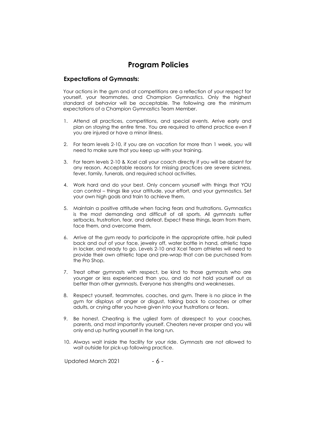# **Program Policies**

## **Expectations of Gymnasts:**

Your actions in the gym and at competitions are a reflection of your respect for yourself, your teammates, and Champion Gymnastics. Only the highest standard of behavior will be acceptable. The following are the minimum expectations of a Champion Gymnastics Team Member.

- 1. Attend all practices, competitions, and special events. Arrive early and plan on staying the entire time. You are required to attend practice even if you are injured or have a minor illness.
- 2. For team levels 2-10, if you are on vacation for more than 1 week, you will need to make sure that you keep up with your training.
- 3. For team levels 2-10 & Xcel call your coach directly if you will be absent for any reason. Acceptable reasons for missing practices are severe sickness, fever, family, funerals, and required school activities.
- 4. Work hard and do your best. Only concern yourself with things that YOU can control – things like your attitude, your effort, and your gymnastics. Set your own high goals and train to achieve them.
- 5. Maintain a positive attitude when facing fears and frustrations. Gymnastics is the most demanding and difficult of all sports. All gymnasts suffer setbacks, frustration, fear, and defeat. Expect these things, learn from them, face them, and overcome them.
- 6. Arrive at the gym ready to participate in the appropriate attire, hair pulled back and out of your face, jewelry off, water bottle in hand, athletic tape in locker, and ready to go. Levels 2-10 and Xcel Team athletes will need to provide their own athletic tape and pre-wrap that can be purchased from the Pro Shop.
- 7. Treat other gymnasts with respect, be kind to those gymnasts who are younger or less experienced than you, and do not hold yourself out as better than other gymnasts. Everyone has strengths and weaknesses.
- 8. Respect yourself, teammates, coaches, and gym. There is no place in the gym for displays of anger or disgust, talking back to coaches or other adults, or crying after you have given into your frustrations or fears.
- 9. Be honest. Cheating is the ugliest form of disrespect to your coaches, parents, and most importantly yourself. Cheaters never prosper and you will only end up hurting yourself in the long run.
- 10. Always wait inside the facility for your ride. Gymnasts are not allowed to wait outside for pick-up following practice.

- 6 - Updated March 2021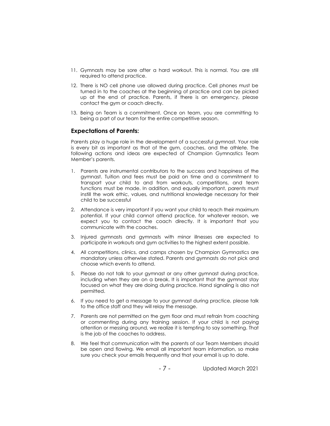- 11. Gymnasts may be sore after a hard workout. This is normal. You are still required to attend practice.
- 12. There is NO cell phone use allowed during practice. Cell phones must be turned in to the coaches at the beginning of practice and can be picked up at the end of practice. Parents, if there is an emergency, please contact the gym or coach directly.
- 13. Being on Team is a commitment. Once on team, you are committing to being a part of our team for the entire competitive season.

## **Expectations of Parents:**

Parents play a huge role in the development of a successful gymnast. Your role is every bit as important as that of the gym, coaches, and the athlete. The following actions and ideas are expected of Champion Gymnastics Team Member's parents.

- 1. Parents are instrumental contributors to the success and happiness of the gymnast. Tuition and fees must be paid on time and a commitment to transport your child to and from workouts, competitions, and team functions must be made. In addition, and equally important, parents must instill the work ethic, values, and nutritional knowledge necessary for their child to be successful
- 2. Attendance is very important if you want your child to reach their maximum potential. If your child cannot attend practice, for whatever reason, we expect you to contact the coach directly. It is important that you communicate with the coaches.
- 3. Injured gymnasts and gymnasts with minor illnesses are expected to participate in workouts and gym activities to the highest extent possible.
- 4. All competitions, clinics, and camps chosen by Champion Gymnastics are mandatory unless otherwise stated. Parents and gymnasts do not pick and choose which events to attend.
- 5. Please do not talk to your gymnast or any other gymnast during practice, including when they are on a break. It is important that the gymnast stay focused on what they are doing during practice. Hand signaling is also not permitted.
- 6. If you need to get a message to your gymnast during practice, please talk to the office staff and they will relay the message.
- 7. Parents are not permitted on the gym floor and must refrain from coaching or commenting during any training session. If your child is not paying attention or messing around, we realize it is tempting to say something. That is the job of the coaches to address.
- 8. We feel that communication with the parents of our Team Members should be open and flowing. We email all important team information, so make sure you check your emails frequently and that your email is up to date.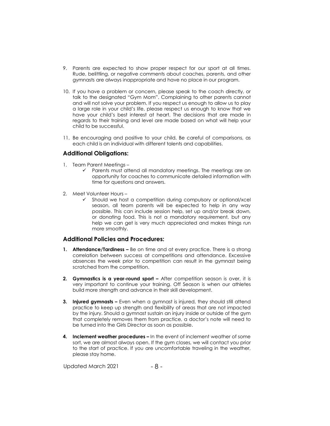- 9. Parents are expected to show proper respect for our sport at all times. Rude, belittling, or negative comments about coaches, parents, and other gymnasts are always inappropriate and have no place in our program.
- 10. If you have a problem or concern, please speak to the coach directly, or talk to the designated "Gym Mom". Complaining to other parents cannot and will not solve your problem. If you respect us enough to allow us to play a large role in your child's life, please respect us enough to know that we have your child's best interest at heart. The decisions that are made in regards to their training and level are made based on what will help your child to be successful.
- 11. Be encouraging and positive to your child. Be careful of comparisons, as each child is an individual with different talents and capabilities.

## **Additional Obligations:**

- 1. Team Parent Meetings
	- ✓ Parents must attend all mandatory meetings. The meetings are an opportunity for coaches to communicate detailed information with time for questions and answers.
- 2. Meet Volunteer Hours
	- Should we host a competition during compulsory or optional/xcel season, all team parents will be expected to help in any way possible. This can include session help, set up and/or break down, or donating food. This is not a mandatory requirement, but any help we can get is very much appreciated and makes things run more smoothly.

## **Additional Policies and Procedures:**

- **1. Attendance/Tardiness –** Be on time and at every practice. There is a strong correlation between success at competitions and attendance. Excessive absences the week prior to competition can result in the gymnast being scratched from the competition.
- **2. Gymnastics is a year-round sport –** After competition season is over, it is very important to continue your training. Off Season is when our athletes build more strength and advance in their skill development.
- **3. Injured gymnasts –** Even when a gymnast is injured, they should still attend practice to keep up strength and flexibility of areas that are not impacted by the injury. Should a gymnast sustain an injury inside or outside of the gym that completely removes them from practice, a doctor's note will need to be turned into the Girls Director as soon as possible.
- **4. Inclement weather procedures –** In the event of inclement weather of some sort, we are almost always open. If the gym closes, we will contact you prior to the start of practice. If you are uncomfortable traveling in the weather, please stay home.

- 8 - Updated March 2021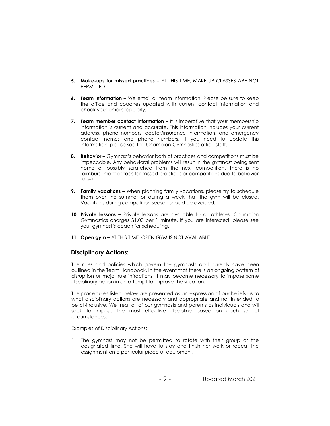- **5. Make-ups for missed practices –** AT THIS TIME, MAKE-UP CLASSES ARE NOT PERMITTED.
- **6. Team information –** We email all team information. Please be sure to keep the office and coaches updated with current contact information and check your emails regularly.
- **7. Team member contact information –** It is imperative that your membership information is current and accurate. This information includes your current address, phone numbers, doctor/insurance information, and emergency contact names and phone numbers. If you need to update this information, please see the Champion Gymnastics office staff.
- **8. Behavior –** Gymnast's behavior both at practices and competitions must be impeccable. Any behavioral problems will result in the gymnast being sent home or possibly scratched from the next competition. There is no reimbursement of fees for missed practices or competitions due to behavior issues.
- **9. Family vacations –** When planning family vacations, please try to schedule them over the summer or during a week that the gym will be closed. Vacations during competition season should be avoided.
- **10. Private lessons –** Private lessons are available to all athletes. Champion Gymnastics charges \$1.00 per 1 minute. If you are interested, please see your gymnast's coach for scheduling.
- **11. Open gym –** AT THIS TIME, OPEN GYM IS NOT AVAILABLE.

## **Disciplinary Actions:**

The rules and policies which govern the gymnasts and parents have been outlined in the Team Handbook. In the event that there is an ongoing pattern of disruption or major rule infractions, it may become necessary to impose some disciplinary action in an attempt to improve the situation.

The procedures listed below are presented as an expression of our beliefs as to what disciplinary actions are necessary and appropriate and not intended to be all-inclusive. We treat all of our gymnasts and parents as individuals and will seek to impose the most effective discipline based on each set of circumstances.

Examples of Disciplinary Actions:

1. The gymnast may not be permitted to rotate with their group at the designated time. She will have to stay and finish her work or repeat the assignment on a particular piece of equipment.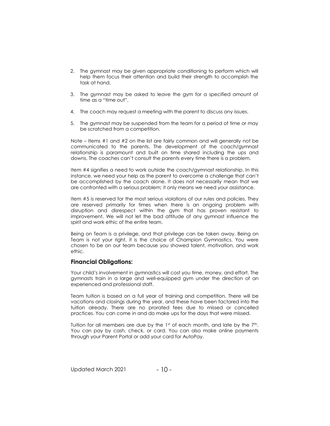- 2. The gymnast may be given appropriate conditioning to perform which will help them focus their attention and build their strength to accomplish the task at hand.
- 3. The gymnast may be asked to leave the gym for a specified amount of time as a "time out".
- 4. The coach may request a meeting with the parent to discuss any issues.
- 5. The gymnast may be suspended from the team for a period of time or may be scratched from a competition.

Note – Items #1 and #2 on the list are fairly common and will generally not be communicated to the parents. The development of the coach/gymnast relationship is paramount and built on time shared including the ups and downs. The coaches can't consult the parents every time there is a problem.

Item #4 signifies a need to work outside the coach/gymnast relationship. In this instance, we need your help as the parent to overcome a challenge that can't be accomplished by the coach alone. It does not necessarily mean that we are confronted with a serious problem; it only means we need your assistance.

Item #5 is reserved for the most serious violations of our rules and policies. They are reserved primarily for times when there is an ongoing problem with disruption and disrespect within the gym that has proven resistant to improvement. We will not let the bad attitude of any gymnast influence the spirit and work ethic of the entire team.

Being on Team is a privilege, and that privilege can be taken away. Being on Team is not your right, it is the choice of Champion Gymnastics. You were chosen to be on our team because you showed talent, motivation, and work ethic.

#### **Financial Obligations:**

Your child's involvement in gymnastics will cost you time, money, and effort. The gymnasts train in a large and well-equipped gym under the direction of an experienced and professional staff.

Team tuition is based on a full year of training and competition. There will be vacations and closings during the year, and these have been factored into the tuition already. There are no prorated fees due to missed or cancelled practices. You can come in and do make ups for the days that were missed.

Tuition for all members are due by the  $1<sup>st</sup>$  of each month, and late by the  $7<sup>th</sup>$ . You can pay by cash, check, or card. You can also make online payments through your Parent Portal or add your card for AutoPay.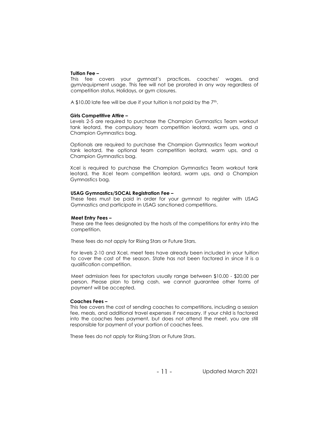#### **Tuition Fee –**

This fee covers your gymnast's practices, coaches' wages, and gym/equipment usage. This fee will not be prorated in any way regardless of competition status, Holidays, or gym closures.

A \$10.00 late fee will be due if your tuition is not paid by the  $7<sup>th</sup>$ .

#### **Girls Competitive Attire –**

Levels 2-5 are required to purchase the Champion Gymnastics Team workout tank leotard, the compulsory team competition leotard, warm ups, and a Champion Gymnastics bag.

Optionals are required to purchase the Champion Gymnastics Team workout tank leotard, the optional team competition leotard, warm ups, and a Champion Gymnastics bag.

Xcel is required to purchase the Champion Gymnastics Team workout tank leotard, the Xcel team competition leotard, warm ups, and a Champion Gymnastics bag.

#### **USAG Gymnastics/SOCAL Registration Fee –**

These fees must be paid in order for your gymnast to register with USAG Gymnastics and participate in USAG sanctioned competitions.

#### **Meet Entry Fees –**

These are the fees designated by the hosts of the competitions for entry into the competition.

These fees do not apply for Rising Stars or Future Stars.

For levels 2-10 and Xcel, meet fees have already been included in your tuition to cover the cost of the season. State has not been factored in since it is a qualification competition.

Meet admission fees for spectators usually range between \$10.00 - \$20.00 per person. Please plan to bring cash, we cannot guarantee other forms of payment will be accepted.

#### **Coaches Fees –**

This fee covers the cost of sending coaches to competitions, including a session fee, meals, and additional travel expenses if necessary. If your child is factored into the coaches fees payment, but does not attend the meet, you are still responsible for payment of your portion of coaches fees.

These fees do not apply for Rising Stars or Future Stars.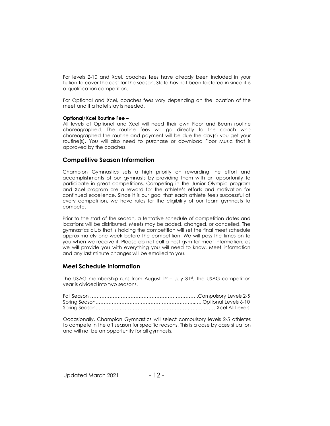For levels 2-10 and Xcel, coaches fees have already been included in your tuition to cover the cost for the season. State has not been factored in since it is a qualification competition.

For Optional and Xcel, coaches fees vary depending on the location of the meet and if a hotel stay is needed.

#### **Optional/Xcel Routine Fee –**

All levels of Optional and Xcel will need their own Floor and Beam routine choreographed. The routine fees will go directly to the coach who choreographed the routine and payment will be due the day(s) you get your routine(s). You will also need to purchase or download Floor Music that is approved by the coaches.

### **Competitive Season Information**

Champion Gymnastics sets a high priority on rewarding the effort and accomplishments of our gymnasts by providing them with an opportunity to participate in great competitions. Competing in the Junior Olympic program and Xcel program are a reward for the athlete's efforts and motivation for continued excellence. Since it is our goal that each athlete feels successful at every competition, we have rules for the eligibility of our team gymnasts to compete.

Prior to the start of the season, a tentative schedule of competition dates and locations will be distributed. Meets may be added, changed, or cancelled. The gymnastics club that is holding the competition will set the final meet schedule approximately one week before the competition. We will pass the times on to you when we receive it. Please do not call a host gym for meet information, as we will provide you with everything you will need to know. Meet information and any last minute changes will be emailed to you.

### **Meet Schedule Information**

The USAG membership runs from August  $1<sup>st</sup>$  – July 31st. The USAG competition year is divided into two seasons.

Occasionally, Champion Gymnastics will select compulsory levels 2-5 athletes to compete in the off season for specific reasons. This is a case by case situation and will not be an opportunity for all gymnasts.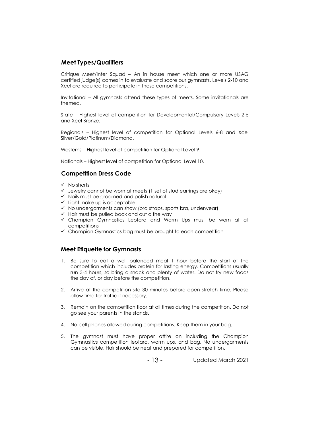## **Meet Types/Qualifiers**

Critique Meet/Inter Squad – An in house meet which one or more USAG certified judge(s) comes in to evaluate and score our gymnasts. Levels 2-10 and Xcel are required to participate in these competitions.

Invitational – All gymnasts attend these types of meets. Some invitationals are themed.

State – Highest level of competition for Developmental/Compulsory Levels 2-5 and Xcel Bronze.

Regionals – Highest level of competition for Optional Levels 6-8 and Xcel Silver/Gold/Platinum/Diamond.

Westerns – Highest level of competition for Optional Level 9.

Nationals – Highest level of competition for Optional Level 10.

## **Competition Dress Code**

- ✓ No shorts
- $\checkmark$  Jewelry cannot be worn at meets (1 set of stud earrings are okay)
- $\checkmark$  Nails must be groomed and polish natural
- $\checkmark$  Light make up is acceptable
- $\checkmark$  No undergarments can show (bra straps, sports bra, underwear)
- $\checkmark$  Hair must be pulled back and out o the way
- ✓ Champion Gymnastics Leotard and Warm Ups must be worn at all competitions
- $\checkmark$  Champion Gymnastics bag must be brought to each competition

## **Meet Etiquette for Gymnasts**

- 1. Be sure to eat a well balanced meal 1 hour before the start of the competition which includes protein for lasting energy. Competitions usually run 3-4 hours, so bring a snack and plenty of water. Do not try new foods the day of, or day before the competition.
- 2. Arrive at the competition site 30 minutes before open stretch time. Please allow time for traffic if necessary.
- 3. Remain on the competition floor at all times during the competition. Do not go see your parents in the stands.
- 4. No cell phones allowed during competitions. Keep them in your bag.
- 5. The gymnast must have proper attire on including the Champion Gymnastics competition leotard, warm ups, and bag. No undergarments can be visible. Hair should be neat and prepared for competition.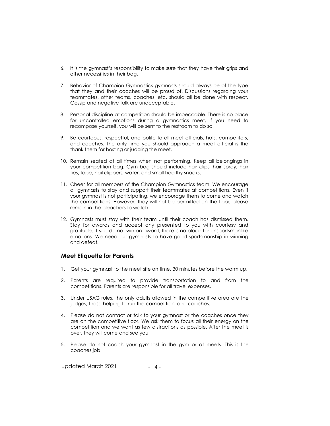- 6. It is the gymnast's responsibility to make sure that they have their grips and other necessities in their bag.
- 7. Behavior of Champion Gymnastics gymnasts should always be of the type that they and their coaches will be proud of. Discussions regarding your teammates, other teams, coaches, etc. should all be done with respect. Gossip and negative talk are unacceptable.
- 8. Personal discipline at competition should be impeccable. There is no place for uncontrolled emotions during a gymnastics meet, if you need to recompose yourself, you will be sent to the restroom to do so.
- 9. Be courteous, respectful, and polite to all meet officials, hots, competitors, and coaches. The only time you should approach a meet official is the thank them for hosting or judging the meet.
- 10. Remain seated at all times when not performing. Keep all belongings in your competition bag. Gym bag should include hair clips, hair spray, hair ties, tape, nail clippers, water, and small healthy snacks.
- 11. Cheer for all members of the Champion Gymnastics team. We encourage all gymnasts to stay and support their teammates at competitions. Even if your gymnast is not participating, we encourage them to come and watch the competitions. However, they will not be permitted on the floor, please remain in the bleachers to watch.
- 12. Gymnasts must stay with their team until their coach has dismissed them. Stay for awards and accept any presented to you with courtesy and gratitude. If you do not win an award, there is no place for unsportsmanlike emotions. We need our gymnasts to have good sportsmanship in winning and defeat.

## **Meet Etiquette for Parents**

- 1. Get your gymnast to the meet site on time, 30 minutes before the warm up.
- 2. Parents are required to provide transportation to and from the competitions. Parents are responsible for all travel expenses.
- 3. Under USAG rules, the only adults allowed in the competitive area are the judges, those helping to run the competition, and coaches.
- 4. Please do not contact or talk to your gymnast or the coaches once they are on the competitive floor. We ask them to focus all their energy on the competition and we want as few distractions as possible. After the meet is over, they will come and see you.
- 5. Please do not coach your gymnast in the gym or at meets. This is the coaches job.

- 14 - Updated March 2021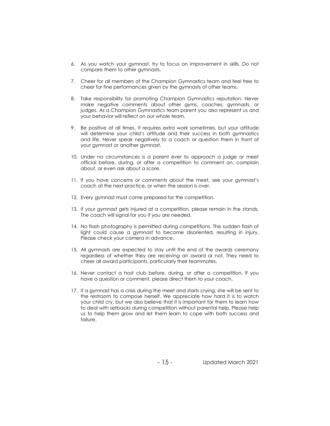- 6. As you watch your gymnast, try to focus on improvement in skills. Do not compare them to other gymnasts.
- 7. Cheer for all members of the Champion Gymnastics team and feel free to cheer for fine performances given by the gymnasts of other teams.
- 8. Take responsibility for promoting Champion Gymnastics reputation. Never make negative comments about other gyms, coaches, gymnasts, or judges. As a Champion Gymnastics team parent you also represent us and your behavior will reflect on our whole team.
- 9. Be positive at all times. It requires extra work sometimes, but your attitude will determine your child's attitude and their success in both gymnastics and life. Never speak negatively to a coach or question them in front of your gymnast or another gymnast.
- 10. Under no circumstances is a parent ever to approach a judge or meet official before, during, or after a competition to comment on, complain about, or even ask about a score.
- 11. If you have concerns or comments about the meet, see your gymnast's coach at the next practice, or when the session is over.
- 12. Every gymnast must come prepared for the competition.
- 13. If your gymnast gets injured at a competition, please remain in the stands. The coach will signal for you if you are needed.
- 14. No flash photography is permitted during competitions. The sudden flash of light could cause a gymnast to become disoriented, resulting in injury. Please check your camera in advance.
- 15. All gymnasts are expected to stay until the end of the awards ceremony regardless of whether they are receiving an award or not. They need to cheer all award participants, particularly their teammates.
- 16. Never contact a host club before, during, or after a competition. If you have a question or comment, please direct them to your coach.
- 17. If a gymnast has a crisis during the meet and starts crying, she will be sent to the restroom to compose herself. We appreciate how hard it is to watch your child cry, but we also believe that it is important for them to learn how to deal with setbacks during competition without parental help. Please help us to help them grow and let them learn to cope with both success and failure.